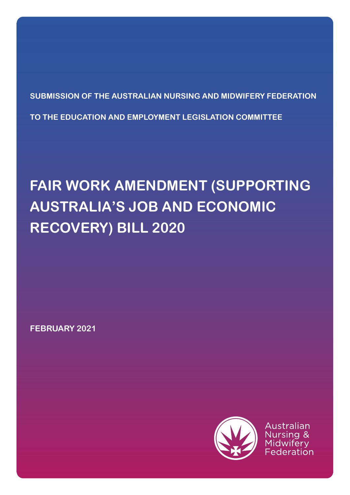**SUBMISSION OF THE AUSTRALIAN NURSING AND MIDWIFERY FEDERATION TO THE EDUCATION AND EMPLOYMENT LEGISLATION COMMITTEE**

# **FAIR WORK AMENDMENT (SUPPORTING AUSTRALIA'S JOB AND ECONOMIC RECOVERY) BILL 2020**

**FEBRUARY 2021**



Australian ୍ୟ Federation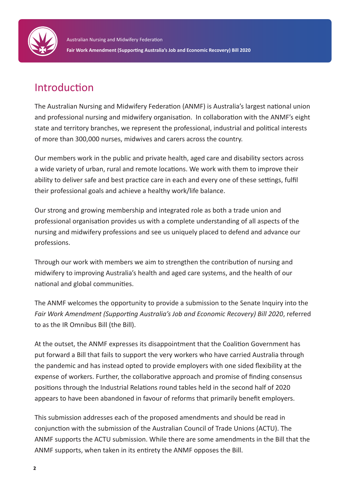

## Introduction

The Australian Nursing and Midwifery Federation (ANMF) is Australia's largest national union and professional nursing and midwifery organisation. In collaboration with the ANMF's eight state and territory branches, we represent the professional, industrial and political interests of more than 300,000 nurses, midwives and carers across the country.

Our members work in the public and private health, aged care and disability sectors across a wide variety of urban, rural and remote locations. We work with them to improve their ability to deliver safe and best practice care in each and every one of these settings, fulfil their professional goals and achieve a healthy work/life balance.

Our strong and growing membership and integrated role as both a trade union and professional organisation provides us with a complete understanding of all aspects of the nursing and midwifery professions and see us uniquely placed to defend and advance our professions.

Through our work with members we aim to strengthen the contribution of nursing and midwifery to improving Australia's health and aged care systems, and the health of our national and global communities.

The ANMF welcomes the opportunity to provide a submission to the Senate Inquiry into the *Fair Work Amendment (Supporting Australia's Job and Economic Recovery) Bill 2020*, referred to as the IR Omnibus Bill (the Bill).

At the outset, the ANMF expresses its disappointment that the Coalition Government has put forward a Bill that fails to support the very workers who have carried Australia through the pandemic and has instead opted to provide employers with one sided flexibility at the expense of workers. Further, the collaborative approach and promise of finding consensus positions through the Industrial Relations round tables held in the second half of 2020 appears to have been abandoned in favour of reforms that primarily benefit employers.

This submission addresses each of the proposed amendments and should be read in conjunction with the submission of the Australian Council of Trade Unions (ACTU). The ANMF supports the ACTU submission. While there are some amendments in the Bill that the ANMF supports, when taken in its entirety the ANMF opposes the Bill.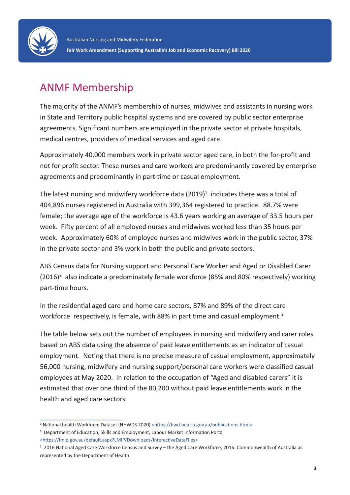

## ANMF Membership

The majority of the ANMF's membership of nurses, midwives and assistants in nursing work in State and Territory public hospital systems and are covered by public sector enterprise agreements. Significant numbers are employed in the private sector at private hospitals, medical centres, providers of medical services and aged care.

Approximately 40,000 members work in private sector aged care, in both the for-profit and not for profit sector. These nurses and care workers are predominantly covered by enterprise agreements and predominantly in part-time or casual employment.

The latest nursing and midwifery workforce data (2019)<sup>1</sup> indicates there was a total of 404,896 nurses registered in Australia with 399,364 registered to practice. 88.7% were female; the average age of the workforce is 43.6 years working an average of 33.5 hours per week. Fifty percent of all employed nurses and midwives worked less than 35 hours per week. Approximately 60% of employed nurses and midwives work in the public sector, 37% in the private sector and 3% work in both the public and private sectors.

ABS Census data for Nursing support and Personal Care Worker and Aged or Disabled Carer (2016)² also indicate a predominately female workforce (85% and 80% respectively) working part-time hours.

In the residential aged care and home care sectors, 87% and 89% of the direct care workforce respectively, is female, with 88% in part time and casual employment.<sup>3</sup>

The table below sets out the number of employees in nursing and midwifery and carer roles based on ABS data using the absence of paid leave entitlements as an indicator of casual employment. Noting that there is no precise measure of casual employment, approximately 56,000 nursing, midwifery and nursing support/personal care workers were classified casual employees at May 2020. In relation to the occupation of "Aged and disabled carers" it is estimated that over one third of the 80,200 without paid leave entitlements work in the health and aged care sectors.

\_\_\_\_\_\_\_\_\_\_\_\_\_\_\_\_\_\_\_\_

<sup>1</sup> National health Workforce Dataset (NHWDS 2020) <https://hwd.health.gov.au/publications.html>

<sup>&</sup>lt;sup>2</sup> Department of Education, Skills and Employment, Labour Market Information Portal

<sup>&</sup>lt;https://lmip.gov.au/default.aspx?LMIP/Downloads/InteractiveDataFiles>

<sup>3</sup> 2016 National Aged Care Workforce Census and Survey – the Aged Care Workforce, 2016. Commonwealth of Australia as represented by the Department of Health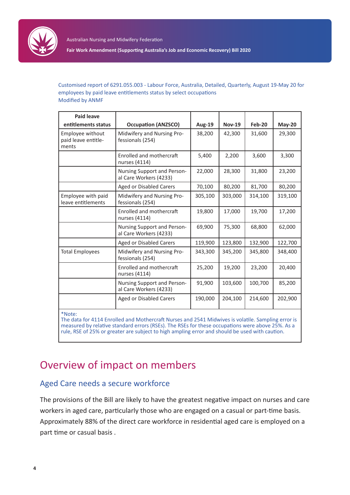

**Fair Work Amendment (Supporting Australia's Job and Economic Recovery) Bill 2020**

Customised report of 6291.055.003 - Labour Force, Australia, Detailed, Quarterly, August 19-May 20 for employees by paid leave entitlements status by select occupations Modified by ANMF

| <b>Paid leave</b>                                |                                                       |               |               |          |               |
|--------------------------------------------------|-------------------------------------------------------|---------------|---------------|----------|---------------|
| entitlements status                              | <b>Occupation (ANZSCO)</b>                            | <b>Aug-19</b> | <b>Nov-19</b> | $Feb-20$ | <b>May-20</b> |
| Employee without<br>paid leave entitle-<br>ments | Midwifery and Nursing Pro-<br>fessionals (254)        | 38,200        | 42,300        | 31,600   | 29,300        |
|                                                  | Enrolled and mothercraft<br>nurses (4114)             | 5,400         | 2,200         | 3,600    | 3,300         |
|                                                  | Nursing Support and Person-<br>al Care Workers (4233) | 22,000        | 28,300        | 31,800   | 23,200        |
|                                                  | Aged or Disabled Carers                               | 70,100        | 80,200        | 81,700   | 80,200        |
| Employee with paid<br>leave entitlements         | Midwifery and Nursing Pro-<br>fessionals (254)        | 305,100       | 303,000       | 314,100  | 319,100       |
|                                                  | Enrolled and mothercraft<br>nurses (4114)             | 19,800        | 17,000        | 19,700   | 17,200        |
|                                                  | Nursing Support and Person-<br>al Care Workers (4233) | 69,900        | 75,300        | 68,800   | 62,000        |
|                                                  | <b>Aged or Disabled Carers</b>                        | 119,900       | 123,800       | 132,900  | 122,700       |
| <b>Total Employees</b>                           | Midwifery and Nursing Pro-<br>fessionals (254)        | 343,300       | 345,200       | 345,800  | 348,400       |
|                                                  | Enrolled and mothercraft<br>nurses (4114)             | 25,200        | 19,200        | 23,200   | 20,400        |
|                                                  | Nursing Support and Person-<br>al Care Workers (4233) | 91,900        | 103,600       | 100,700  | 85,200        |
|                                                  | <b>Aged or Disabled Carers</b>                        | 190,000       | 204,100       | 214,600  | 202,900       |
| $*$ Note:                                        |                                                       |               |               |          |               |

\*Note:

The data for 4114 Enrolled and Mothercraft Nurses and 2541 Midwives is volatile. Sampling error is measured by relative standard errors (RSEs). The RSEs for these occupations were above 25%. As a rule, RSE of 25% or greater are subject to high ampling error and should be used with caution.

## Overview of impact on members

## Aged Care needs a secure workforce

The provisions of the Bill are likely to have the greatest negative impact on nurses and care workers in aged care, particularly those who are engaged on a casual or part-time basis. Approximately 88% of the direct care workforce in residential aged care is employed on a part time or casual basis .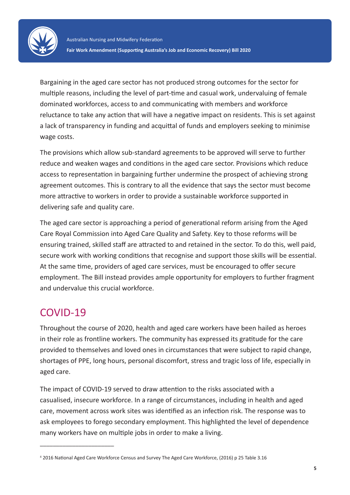

Bargaining in the aged care sector has not produced strong outcomes for the sector for multiple reasons, including the level of part-time and casual work, undervaluing of female dominated workforces, access to and communicating with members and workforce reluctance to take any action that will have a negative impact on residents. This is set against a lack of transparency in funding and acquittal of funds and employers seeking to minimise wage costs.

The provisions which allow sub-standard agreements to be approved will serve to further reduce and weaken wages and conditions in the aged care sector. Provisions which reduce access to representation in bargaining further undermine the prospect of achieving strong agreement outcomes. This is contrary to all the evidence that says the sector must become more attractive to workers in order to provide a sustainable workforce supported in delivering safe and quality care.

The aged care sector is approaching a period of generational reform arising from the Aged Care Royal Commission into Aged Care Quality and Safety. Key to those reforms will be ensuring trained, skilled staff are attracted to and retained in the sector. To do this, well paid, secure work with working conditions that recognise and support those skills will be essential. At the same time, providers of aged care services, must be encouraged to offer secure employment. The Bill instead provides ample opportunity for employers to further fragment and undervalue this crucial workforce.

## COVID-19

\_\_\_\_\_\_\_\_\_\_\_\_\_\_\_\_\_\_\_\_\_\_\_

Throughout the course of 2020, health and aged care workers have been hailed as heroes in their role as frontline workers. The community has expressed its gratitude for the care provided to themselves and loved ones in circumstances that were subject to rapid change, shortages of PPE, long hours, personal discomfort, stress and tragic loss of life, especially in aged care.

The impact of COVID-19 served to draw attention to the risks associated with a casualised, insecure workforce. In a range of circumstances, including in health and aged care, movement across work sites was identified as an infection risk. The response was to ask employees to forego secondary employment. This highlighted the level of dependence many workers have on multiple jobs in order to make a living.

<sup>4</sup> 2016 National Aged Care Workforce Census and Survey The Aged Care Workforce, (2016) p 25 Table 3.16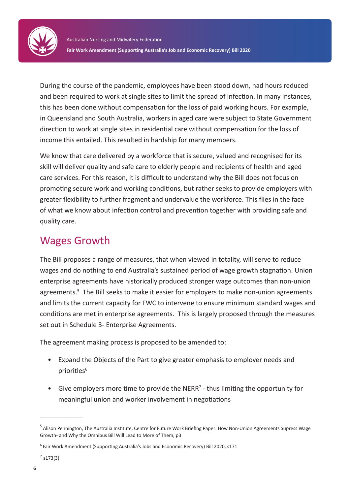

During the course of the pandemic, employees have been stood down, had hours reduced and been required to work at single sites to limit the spread of infection. In many instances, this has been done without compensation for the loss of paid working hours. For example, in Queensland and South Australia, workers in aged care were subject to State Government direction to work at single sites in residential care without compensation for the loss of income this entailed. This resulted in hardship for many members.

We know that care delivered by a workforce that is secure, valued and recognised for its skill will deliver quality and safe care to elderly people and recipients of health and aged care services. For this reason, it is difficult to understand why the Bill does not focus on promoting secure work and working conditions, but rather seeks to provide employers with greater flexibility to further fragment and undervalue the workforce. This flies in the face of what we know about infection control and prevention together with providing safe and quality care.

## Wages Growth

The Bill proposes a range of measures, that when viewed in totality, will serve to reduce wages and do nothing to end Australia's sustained period of wage growth stagnation. Union enterprise agreements have historically produced stronger wage outcomes than non-union agreements.<sup>5</sup> The Bill seeks to make it easier for employers to make non-union agreements and limits the current capacity for FWC to intervene to ensure minimum standard wages and conditions are met in enterprise agreements. This is largely proposed through the measures set out in Schedule 3- Enterprise Agreements.

The agreement making process is proposed to be amended to:

- Expand the Objects of the Part to give greater emphasis to employer needs and priorities<sup>6</sup>
- Give employers more time to provide the NERR<sup>7</sup> thus limiting the opportunity for meaningful union and worker involvement in negotiations

 $\overline{\phantom{a}}$  , where  $\overline{\phantom{a}}$ 

<sup>5</sup> Alison Pennington, The Australia Institute, Centre for Future Work Briefing Paper: How Non-Union Agreements Supress Wage Growth- and Why the Omnibus Bill Will Lead to More of Them, p3

<sup>6</sup> Fair Work Amendment (Supporting Australia's Jobs and Economic Recovery) Bill 2020, s171

 $7 s173(3)$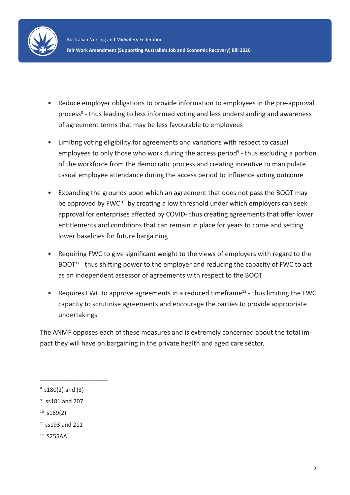

- Reduce employer obligations to provide information to employees in the pre-approval process<sup>8</sup> - thus leading to less informed voting and less understanding and awareness of agreement terms that may be less favourable to employees
- Limiting voting eligibility for agreements and variations with respect to casual employees to only those who work during the access period<sup>9</sup> - thus excluding a portion of the workforce from the democratic process and creating incentive to manipulate casual employee attendance during the access period to influence voting outcome
- Expanding the grounds upon which an agreement that does not pass the BOOT may be approved by  $FWC^{10}$  by creating a low threshold under which employers can seek approval for enterprises affected by COVID- thus creating agreements that offer lower entitlements and conditions that can remain in place for years to come and setting lower baselines for future bargaining
- Requiring FWC to give significant weight to the views of employers with regard to the  $BOOT<sup>11</sup>$  thus shifting power to the employer and reducing the capacity of FWC to act as an independent assessor of agreements with respect to the BOOT
- Requires FWC to approve agreements in a reduced timeframe<sup>12</sup> thus limiting the FWC capacity to scrutinise agreements and encourage the parties to provide appropriate undertakings

The ANMF opposes each of these measures and is extremely concerned about the total impact they will have on bargaining in the private health and aged care sector.

 $\overline{\phantom{a}}$  , where the contract of the contract of the contract of the contract of the contract of the contract of the contract of the contract of the contract of the contract of the contract of the contract of the contr

 $10$  s189(2)

12 S255AA

 $8 \text{ s180(2)}$  and (3)

<sup>9</sup> ss181 and 207

 $11$  ss193 and 211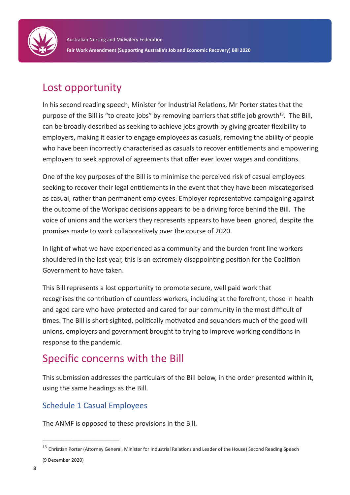

## Lost opportunity

In his second reading speech, Minister for Industrial Relations, Mr Porter states that the purpose of the Bill is "to create jobs" by removing barriers that stifle job growth<sup>13</sup>. The Bill, can be broadly described as seeking to achieve jobs growth by giving greater flexibility to employers, making it easier to engage employees as casuals, removing the ability of people who have been incorrectly characterised as casuals to recover entitlements and empowering employers to seek approval of agreements that offer ever lower wages and conditions.

One of the key purposes of the Bill is to minimise the perceived risk of casual employees seeking to recover their legal entitlements in the event that they have been miscategorised as casual, rather than permanent employees. Employer representative campaigning against the outcome of the Workpac decisions appears to be a driving force behind the Bill. The voice of unions and the workers they represents appears to have been ignored, despite the promises made to work collaboratively over the course of 2020.

In light of what we have experienced as a community and the burden front line workers shouldered in the last year, this is an extremely disappointing position for the Coalition Government to have taken.

This Bill represents a lost opportunity to promote secure, well paid work that recognises the contribution of countless workers, including at the forefront, those in health and aged care who have protected and cared for our community in the most difficult of times. The Bill is short-sighted, politically motivated and squanders much of the good will unions, employers and government brought to trying to improve working conditions in response to the pandemic.

## Specific concerns with the Bill

This submission addresses the particulars of the Bill below, in the order presented within it, using the same headings as the Bill.

## Schedule 1 Casual Employees

\_\_\_\_\_\_\_\_\_\_\_\_\_\_\_\_\_\_\_\_\_

The ANMF is opposed to these provisions in the Bill.

<sup>&</sup>lt;sup>13</sup> Christian Porter (Attorney General, Minister for Industrial Relations and Leader of the House) Second Reading Speech (9 December 2020)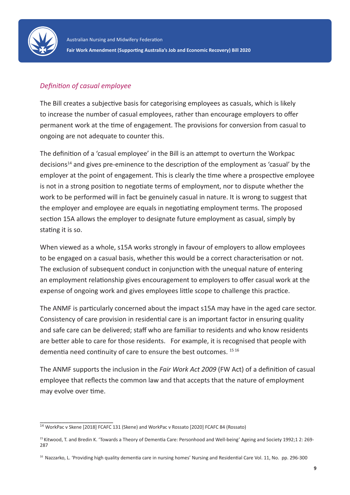

## *Definition of casual employee*

The Bill creates a subjective basis for categorising employees as casuals, which is likely to increase the number of casual employees, rather than encourage employers to offer permanent work at the time of engagement. The provisions for conversion from casual to ongoing are not adequate to counter this.

The definition of a 'casual employee' in the Bill is an attempt to overturn the Workpac decisions<sup>14</sup> and gives pre-eminence to the description of the employment as 'casual' by the employer at the point of engagement. This is clearly the time where a prospective employee is not in a strong position to negotiate terms of employment, nor to dispute whether the work to be performed will in fact be genuinely casual in nature. It is wrong to suggest that the employer and employee are equals in negotiating employment terms. The proposed section 15A allows the employer to designate future employment as casual, simply by stating it is so.

When viewed as a whole, s15A works strongly in favour of employers to allow employees to be engaged on a casual basis, whether this would be a correct characterisation or not. The exclusion of subsequent conduct in conjunction with the unequal nature of entering an employment relationship gives encouragement to employers to offer casual work at the expense of ongoing work and gives employees little scope to challenge this practice.

The ANMF is particularly concerned about the impact s15A may have in the aged care sector. Consistency of care provision in residential care is an important factor in ensuring quality and safe care can be delivered; staff who are familiar to residents and who know residents are better able to care for those residents. For example, it is recognised that people with dementia need continuity of care to ensure the best outcomes. 15 16

The ANMF supports the inclusion in the *Fair Work Act 2009* (FW Act) of a definition of casual employee that reflects the common law and that accepts that the nature of employment may evolve over time.

\_\_\_\_\_\_\_\_\_\_\_\_\_\_\_\_\_\_\_\_

<sup>14</sup> WorkPac v Skene [2018] FCAFC 131 (Skene) and WorkPac v Rossato [2020] FCAFC 84 (Rossato)

<sup>15</sup> Kitwood, T. and Bredin K. 'Towards a Theory of Dementia Care: Personhood and Well-being' Ageing and Society 1992;1 2: 269- 287

<sup>&</sup>lt;sup>16</sup> Nazzarko, L. 'Providing high quality dementia care in nursing homes' Nursing and Residential Care Vol. 11, No. pp. 296-300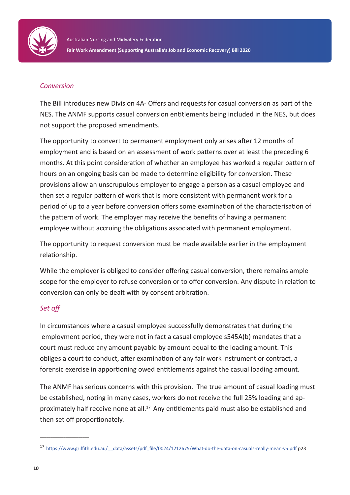

### *Conversion*

The Bill introduces new Division 4A- Offers and requests for casual conversion as part of the NES. The ANMF supports casual conversion entitlements being included in the NES, but does not support the proposed amendments.

The opportunity to convert to permanent employment only arises after 12 months of employment and is based on an assessment of work patterns over at least the preceding 6 months. At this point consideration of whether an employee has worked a regular pattern of hours on an ongoing basis can be made to determine eligibility for conversion. These provisions allow an unscrupulous employer to engage a person as a casual employee and then set a regular pattern of work that is more consistent with permanent work for a period of up to a year before conversion offers some examination of the characterisation of the pattern of work. The employer may receive the benefits of having a permanent employee without accruing the obligations associated with permanent employment.

The opportunity to request conversion must be made available earlier in the employment relationship.

While the employer is obliged to consider offering casual conversion, there remains ample scope for the employer to refuse conversion or to offer conversion. Any dispute in relation to conversion can only be dealt with by consent arbitration.

## *Set off*

In circumstances where a casual employee successfully demonstrates that during the employment period, they were not in fact a casual employee s545A(b) mandates that a court must reduce any amount payable by amount equal to the loading amount. This obliges a court to conduct, after examination of any fair work instrument or contract, a forensic exercise in apportioning owed entitlements against the casual loading amount.

The ANMF has serious concerns with this provision. The true amount of casual loading must be established, noting in many cases, workers do not receive the full 25% loading and approximately half receive none at all.<sup>17</sup> Any entitlements paid must also be established and then set off proportionately.

\_\_\_\_\_\_\_\_\_\_\_\_\_\_\_\_\_\_\_\_\_\_\_

<sup>17</sup> https://www.griffith.edu.au/\_\_data/assets/pdf\_file/0024/1212675/What-do-the-data-on-casuals-really-mean-v5.pdf p23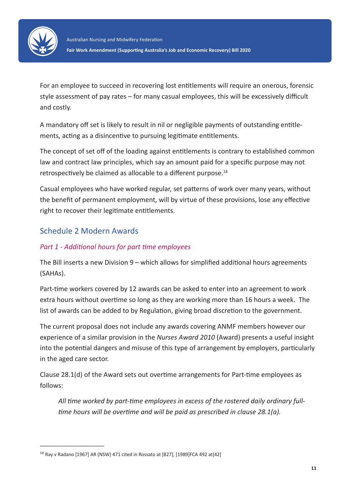

For an employee to succeed in recovering lost entitlements will require an onerous, forensic style assessment of pay rates – for many casual employees, this will be excessively difficult and costly.

A mandatory off set is likely to result in nil or negligible payments of outstanding entitlements, acting as a disincentive to pursuing legitimate entitlements.

The concept of set off of the loading against entitlements is contrary to established common law and contract law principles, which say an amount paid for a specific purpose may not retrospectively be claimed as allocable to a different purpose.<sup>18</sup>

Casual employees who have worked regular, set patterns of work over many years, without the benefit of permanent employment, will by virtue of these provisions, lose any effective right to recover their legitimate entitlements.

## Schedule 2 Modern Awards

\_\_\_\_\_\_\_\_\_\_\_\_\_\_\_\_\_\_\_\_

## *Part 1 - Additional hours for part time employees*

The Bill inserts a new Division 9 – which allows for simplified additional hours agreements (SAHAs).

Part-time workers covered by 12 awards can be asked to enter into an agreement to work extra hours without overtime so long as they are working more than 16 hours a week. The list of awards can be added to by Regulation, giving broad discretion to the government.

The current proposal does not include any awards covering ANMF members however our experience of a similar provision in the *Nurses Award 2010* (Award) presents a useful insight into the potential dangers and misuse of this type of arrangement by employers, particularly in the aged care sector.

Clause 28.1(d) of the Award sets out overtime arrangements for Part-time employees as follows:

*All time worked by part-time employees in excess of the rostered daily ordinary fulltime hours will be overtime and will be paid as prescribed in clause 28.1(a).*

<sup>18</sup> Ray v Radano [1967] AR (NSW) 471 cited in Rossato at [827], [1989]FCA 492 at[42]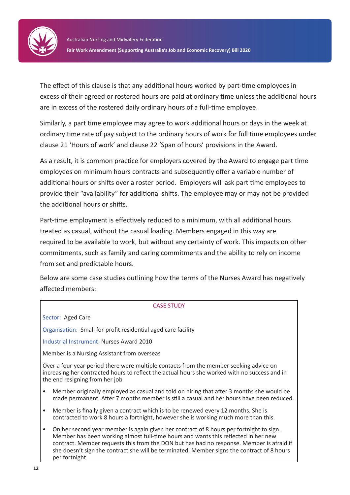

The effect of this clause is that any additional hours worked by part-time employees in excess of their agreed or rostered hours are paid at ordinary time unless the additional hours are in excess of the rostered daily ordinary hours of a full-time employee.

Similarly, a part time employee may agree to work additional hours or days in the week at ordinary time rate of pay subject to the ordinary hours of work for full time employees under clause 21 'Hours of work' and clause 22 'Span of hours' provisions in the Award.

As a result, it is common practice for employers covered by the Award to engage part time employees on minimum hours contracts and subsequently offer a variable number of additional hours or shifts over a roster period. Employers will ask part time employees to provide their "availability" for additional shifts. The employee may or may not be provided the additional hours or shifts.

Part-time employment is effectively reduced to a minimum, with all additional hours treated as casual, without the casual loading. Members engaged in this way are required to be available to work, but without any certainty of work. This impacts on other commitments, such as family and caring commitments and the ability to rely on income from set and predictable hours.

Below are some case studies outlining how the terms of the Nurses Award has negatively affected members:

#### CASE STUDY

Sector: Aged Care

Organisation: Small for-profit residential aged care facility

Industrial Instrument: Nurses Award 2010

Member is a Nursing Assistant from overseas

Over a four-year period there were multiple contacts from the member seeking advice on increasing her contracted hours to reflect the actual hours she worked with no success and in the end resigning from her job

- Member originally employed as casual and told on hiring that after 3 months she would be made permanent. After 7 months member is still a casual and her hours have been reduced.
- Member is finally given a contract which is to be renewed every 12 months. She is contracted to work 8 hours a fortnight, however she is working much more than this.
- On her second year member is again given her contract of 8 hours per fortnight to sign. Member has been working almost full-time hours and wants this reflected in her new contract. Member requests this from the DON but has had no response. Member is afraid if she doesn't sign the contract she will be terminated. Member signs the contract of 8 hours per fortnight.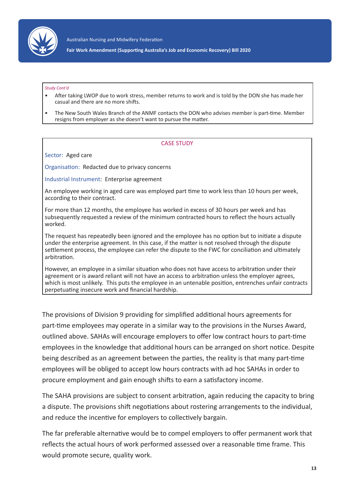

Australian Nursing and Midwifery Federation

**Fair Work Amendment (Supporting Australia's Job and Economic Recovery) Bill 2020**

#### *Study Cont'd*

- After taking LWOP due to work stress, member returns to work and is told by the DON she has made her casual and there are no more shifts.
- The New South Wales Branch of the ANMF contacts the DON who advises member is part-time. Member resigns from employer as she doesn't want to pursue the matter.

#### CASE STUDY

Sector: Aged care

Organisation: Redacted due to privacy concerns

Industrial Instrument: Enterprise agreement

An employee working in aged care was employed part time to work less than 10 hours per week, according to their contract.

For more than 12 months, the employee has worked in excess of 30 hours per week and has subsequently requested a review of the minimum contracted hours to reflect the hours actually worked.

The request has repeatedly been ignored and the employee has no option but to initiate a dispute under the enterprise agreement. In this case, if the matter is not resolved through the dispute settlement process, the employee can refer the dispute to the FWC for conciliation and ultimately arbitration.

However, an employee in a similar situation who does not have access to arbitration under their agreement or is award reliant will not have an access to arbitration unless the employer agrees, which is most unlikely. This puts the employee in an untenable position, entrenches unfair contracts perpetuating insecure work and financial hardship.

The provisions of Division 9 providing for simplified additional hours agreements for part-time employees may operate in a similar way to the provisions in the Nurses Award, outlined above. SAHAs will encourage employers to offer low contract hours to part-time employees in the knowledge that additional hours can be arranged on short notice. Despite being described as an agreement between the parties, the reality is that many part-time employees will be obliged to accept low hours contracts with ad hoc SAHAs in order to procure employment and gain enough shifts to earn a satisfactory income.

The SAHA provisions are subject to consent arbitration, again reducing the capacity to bring a dispute. The provisions shift negotiations about rostering arrangements to the individual, and reduce the incentive for employers to collectively bargain.

The far preferable alternative would be to compel employers to offer permanent work that reflects the actual hours of work performed assessed over a reasonable time frame. This would promote secure, quality work.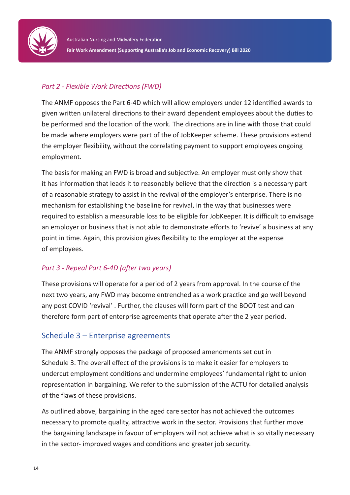

## *Part 2 - Flexible Work Directions (FWD)*

The ANMF opposes the Part 6-4D which will allow employers under 12 identified awards to given written unilateral directions to their award dependent employees about the duties to be performed and the location of the work. The directions are in line with those that could be made where employers were part of the of JobKeeper scheme. These provisions extend the employer flexibility, without the correlating payment to support employees ongoing employment.

The basis for making an FWD is broad and subjective. An employer must only show that it has information that leads it to reasonably believe that the direction is a necessary part of a reasonable strategy to assist in the revival of the employer's enterprise. There is no mechanism for establishing the baseline for revival, in the way that businesses were required to establish a measurable loss to be eligible for JobKeeper. It is difficult to envisage an employer or business that is not able to demonstrate efforts to 'revive' a business at any point in time. Again, this provision gives flexibility to the employer at the expense of employees.

## *Part 3 - Repeal Part 6-4D (after two years)*

These provisions will operate for a period of 2 years from approval. In the course of the next two years, any FWD may become entrenched as a work practice and go well beyond any post COVID 'revival' . Further, the clauses will form part of the BOOT test and can therefore form part of enterprise agreements that operate after the 2 year period.

## Schedule 3 – Enterprise agreements

The ANMF strongly opposes the package of proposed amendments set out in Schedule 3. The overall effect of the provisions is to make it easier for employers to undercut employment conditions and undermine employees' fundamental right to union representation in bargaining. We refer to the submission of the ACTU for detailed analysis of the flaws of these provisions.

As outlined above, bargaining in the aged care sector has not achieved the outcomes necessary to promote quality, attractive work in the sector. Provisions that further move the bargaining landscape in favour of employers will not achieve what is so vitally necessary in the sector- improved wages and conditions and greater job security.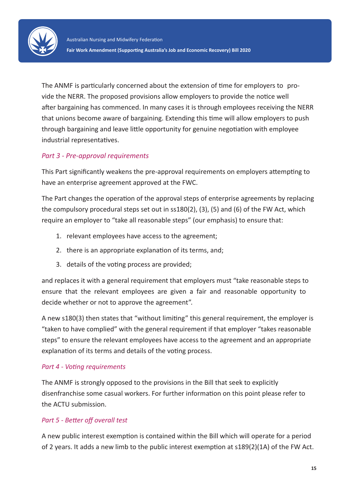

The ANMF is particularly concerned about the extension of time for employers to provide the NERR. The proposed provisions allow employers to provide the notice well after bargaining has commenced. In many cases it is through employees receiving the NERR that unions become aware of bargaining. Extending this time will allow employers to push through bargaining and leave little opportunity for genuine negotiation with employee industrial representatives.

## *Part 3 - Pre-approval requirements*

This Part significantly weakens the pre-approval requirements on employers attempting to have an enterprise agreement approved at the FWC.

The Part changes the operation of the approval steps of enterprise agreements by replacing the compulsory procedural steps set out in ss180(2), (3), (5) and (6) of the FW Act, which require an employer to "take all reasonable steps" (our emphasis) to ensure that:

- 1. relevant employees have access to the agreement;
- 2. there is an appropriate explanation of its terms, and;
- 3. details of the voting process are provided;

and replaces it with a general requirement that employers must "take reasonable steps to ensure that the relevant employees are given a fair and reasonable opportunity to decide whether or not to approve the agreement".

A new s180(3) then states that "without limiting" this general requirement, the employer is "taken to have complied" with the general requirement if that employer "takes reasonable steps" to ensure the relevant employees have access to the agreement and an appropriate explanation of its terms and details of the voting process.

## *Part 4 - Voting requirements*

The ANMF is strongly opposed to the provisions in the Bill that seek to explicitly disenfranchise some casual workers. For further information on this point please refer to the ACTU submission.

## *Part 5 - Better off overall test*

A new public interest exemption is contained within the Bill which will operate for a period of 2 years. It adds a new limb to the public interest exemption at s189(2)(1A) of the FW Act.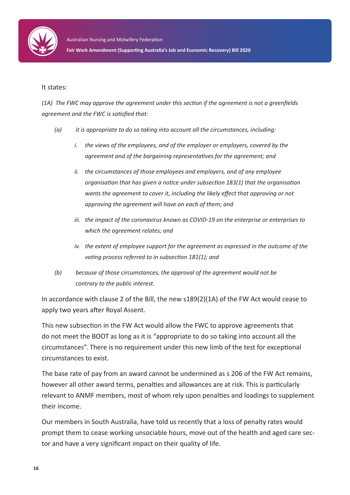

#### It states:

*(1A) The FWC may approve the agreement under this section if the agreement is not a greenfields agreement and the FWC is satisfied that:*

- *(a) it is appropriate to do so taking into account all the circumstances, including:*
	- *i. the views of the employees, and of the employer or employers, covered by the agreement and of the bargaining representatives for the agreement; and*
	- *ii. the circumstances of those employees and employers, and of any employee organisation that has given a notice under subsection 183(1) that the organisation wants the agreement to cover it, including the likely effect that approving or not approving the agreement will have on each of them; and*
	- *iii. the impact of the coronavirus known as COVID-19 on the enterprise or enterprises to which the agreement relates; and*
	- *iv. the extent of employee support for the agreement as expressed in the outcome of the voting process referred to in subsection 181(1); and*
- *(b) because of those circumstances, the approval of the agreement would not be contrary to the public interest.*

In accordance with clause 2 of the Bill, the new s189(2)(1A) of the FW Act would cease to apply two years after Royal Assent.

This new subsection in the FW Act would allow the FWC to approve agreements that do not meet the BOOT as long as it is "appropriate to do so taking into account all the circumstances". There is no requirement under this new limb of the test for exceptional circumstances to exist.

The base rate of pay from an award cannot be undermined as s 206 of the FW Act remains, however all other award terms, penalties and allowances are at risk. This is particularly relevant to ANMF members, most of whom rely upon penalties and loadings to supplement their income.

Our members in South Australia, have told us recently that a loss of penalty rates would prompt them to cease working unsociable hours, move out of the health and aged care sector and have a very significant impact on their quality of life.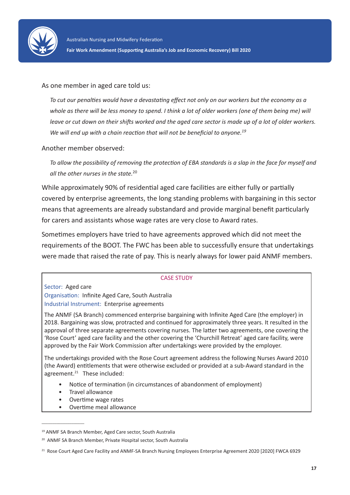

### As one member in aged care told us:

*To cut our penalties would have a devastating effect not only on our workers but the economy as a whole as there will be less money to spend. I think a lot of older workers (one of them being me) will leave or cut down on their shifts worked and the aged care sector is made up of a lot of older workers. We will end up with a chain reaction that will not be beneficial to anyone.<sup>19</sup>*

#### Another member observed:

*To allow the possibility of removing the protection of EBA standards is a slap in the face for myself and all the other nurses in the state.*<sup>20</sup>

While approximately 90% of residential aged care facilities are either fully or partially covered by enterprise agreements, the long standing problems with bargaining in this sector means that agreements are already substandard and provide marginal benefit particularly for carers and assistants whose wage rates are very close to Award rates.

Sometimes employers have tried to have agreements approved which did not meet the requirements of the BOOT. The FWC has been able to successfully ensure that undertakings were made that raised the rate of pay. This is nearly always for lower paid ANMF members.

#### CASE STUDY

Sector: Aged care

Organisation: Infinite Aged Care, South Australia Industrial Instrument: Enterprise agreements

The ANMF (SA Branch) commenced enterprise bargaining with Infinite Aged Care (the employer) in 2018. Bargaining was slow, protracted and continued for approximately three years. It resulted in the approval of three separate agreements covering nurses. The latter two agreements, one covering the 'Rose Court' aged care facility and the other covering the 'Churchill Retreat' aged care facility, were approved by the Fair Work Commission after undertakings were provided by the employer.

The undertakings provided with the Rose Court agreement address the following Nurses Award 2010 (the Award) entitlements that were otherwise excluded or provided at a sub-Award standard in the agreement.<sup>21</sup> These included:

- Notice of termination (in circumstances of abandonment of employment)
- Travel allowance

 $\mathcal{L}=\mathcal{L}$  , we can also the set of the set of the set of the set of the set of the set of the set of the set of the set of the set of the set of the set of the set of the set of the set of the set of the set of the s

- Overtime wage rates
- Overtime meal allowance

<sup>19</sup> ANMF SA Branch Member, Aged Care sector, South Australia

<sup>20</sup> ANMF SA Branch Member, Private Hospital sector, South Australia

<sup>&</sup>lt;sup>21</sup> Rose Court Aged Care Facility and ANMF-SA Branch Nursing Employees Enterprise Agreement 2020 [2020] FWCA 6929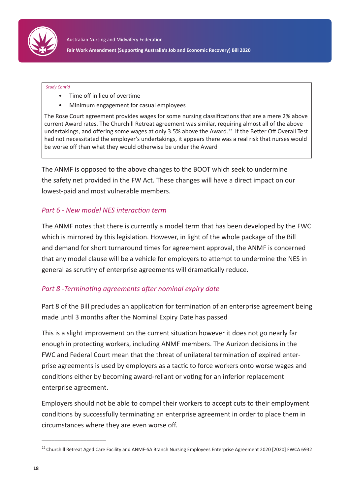

#### *Study Cont'd*

- Time off in lieu of overtime
- Minimum engagement for casual employees

The Rose Court agreement provides wages for some nursing classifications that are a mere 2% above current Award rates. The Churchill Retreat agreement was similar, requiring almost all of the above undertakings, and offering some wages at only 3.5% above the Award.<sup>22</sup> If the Better Off Overall Test had not necessitated the employer's undertakings, it appears there was a real risk that nurses would be worse off than what they would otherwise be under the Award

The ANMF is opposed to the above changes to the BOOT which seek to undermine the safety net provided in the FW Act. These changes will have a direct impact on our lowest-paid and most vulnerable members.

### *Part 6 - New model NES interaction term*

The ANMF notes that there is currently a model term that has been developed by the FWC which is mirrored by this legislation. However, in light of the whole package of the Bill and demand for short turnaround times for agreement approval, the ANMF is concerned that any model clause will be a vehicle for employers to attempt to undermine the NES in general as scrutiny of enterprise agreements will dramatically reduce.

### *Part 8 -Terminating agreements after nominal expiry date*

Part 8 of the Bill precludes an application for termination of an enterprise agreement being made until 3 months after the Nominal Expiry Date has passed

This is a slight improvement on the current situation however it does not go nearly far enough in protecting workers, including ANMF members. The Aurizon decisions in the FWC and Federal Court mean that the threat of unilateral termination of expired enterprise agreements is used by employers as a tactic to force workers onto worse wages and conditions either by becoming award-reliant or voting for an inferior replacement enterprise agreement.

Employers should not be able to compel their workers to accept cuts to their employment conditions by successfully terminating an enterprise agreement in order to place them in circumstances where they are even worse off.

\_\_\_\_\_\_\_\_\_\_\_\_\_\_\_\_\_\_\_\_

<sup>&</sup>lt;sup>22</sup> Churchill Retreat Aged Care Facility and ANMF-SA Branch Nursing Employees Enterprise Agreement 2020 [2020] FWCA 6932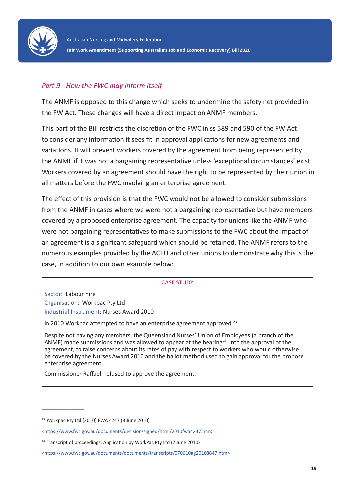

## *Part 9 - How the FWC may inform itself*

The ANMF is opposed to this change which seeks to undermine the safety net provided in the FW Act. These changes will have a direct impact on ANMF members.

This part of the Bill restricts the discretion of the FWC in ss 589 and 590 of the FW Act to consider any information it sees fit in approval applications for new agreements and variations. It will prevent workers covered by the agreement from being represented by the ANMF if it was not a bargaining representative unless 'exceptional circumstances' exist. Workers covered by an agreement should have the right to be represented by their union in all matters before the FWC involving an enterprise agreement.

The effect of this provision is that the FWC would not be allowed to consider submissions from the ANMF in cases where we were not a bargaining representative but have members covered by a proposed enterprise agreement. The capacity for unions like the ANMF who were not bargaining representatives to make submissions to the FWC about the impact of an agreement is a significant safeguard which should be retained. The ANMF refers to the numerous examples provided by the ACTU and other unions to demonstrate why this is the case, in addition to our own example below:

#### CASE STUDY

Sector: Labour hire Organisation: Workpac Pty Ltd Industrial Instrument: Nurses Award 2010

In 2010 Workpac attempted to have an enterprise agreement approved.<sup>23</sup>

Despite not having any members, the Queensland Nurses' Union of Employees (a branch of the ANMF) made submissions and was allowed to appear at the hearing<sup>24</sup> into the approval of the agreement, to raise concerns about its rates of pay with respect to workers who would otherwise be covered by the Nurses Award 2010 and the ballot method used to gain approval for the propose enterprise agreement.

Commissioner Raffaeli refused to approve the agreement.

 $\overline{\phantom{a}}$  , and the set of the set of the set of the set of the set of the set of the set of the set of the set of the set of the set of the set of the set of the set of the set of the set of the set of the set of the s

<sup>23</sup> Workpac Pty Ltd [2010] FWA 4247 (8 June 2010)

<sup>&</sup>lt;https://www.fwc.gov.au/documents/decisionssigned/html/2010fwa4247.htm>

 $24$  Transcript of proceedings, Application by WorkPac Pty Ltd (7 June 2010)

<sup>&</sup>lt;https://www.fwc.gov.au/documents/documents/transcripts/070610ag20108647.htm>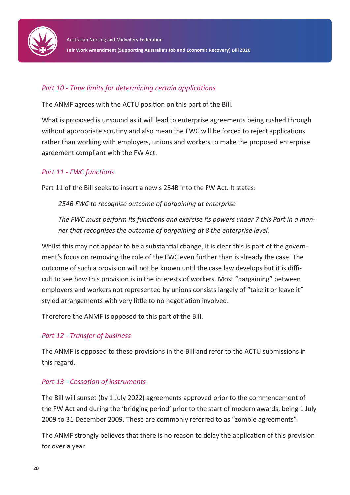

## *Part 10 - Time limits for determining certain applications*

The ANMF agrees with the ACTU position on this part of the Bill.

What is proposed is unsound as it will lead to enterprise agreements being rushed through without appropriate scrutiny and also mean the FWC will be forced to reject applications rather than working with employers, unions and workers to make the proposed enterprise agreement compliant with the FW Act.

## *Part 11 - FWC functions*

Part 11 of the Bill seeks to insert a new s 254B into the FW Act. It states:

*254B FWC to recognise outcome of bargaining at enterprise*

*The FWC must perform its functions and exercise its powers under 7 this Part in a manner that recognises the outcome of bargaining at 8 the enterprise level.*

Whilst this may not appear to be a substantial change, it is clear this is part of the government's focus on removing the role of the FWC even further than is already the case. The outcome of such a provision will not be known until the case law develops but it is difficult to see how this provision is in the interests of workers. Most "bargaining" between employers and workers not represented by unions consists largely of "take it or leave it" styled arrangements with very little to no negotiation involved.

Therefore the ANMF is opposed to this part of the Bill.

### *Part 12 - Transfer of business*

The ANMF is opposed to these provisions in the Bill and refer to the ACTU submissions in this regard.

### *Part 13 - Cessation of instruments*

The Bill will sunset (by 1 July 2022) agreements approved prior to the commencement of the FW Act and during the 'bridging period' prior to the start of modern awards, being 1 July 2009 to 31 December 2009. These are commonly referred to as "zombie agreements".

The ANMF strongly believes that there is no reason to delay the application of this provision for over a year.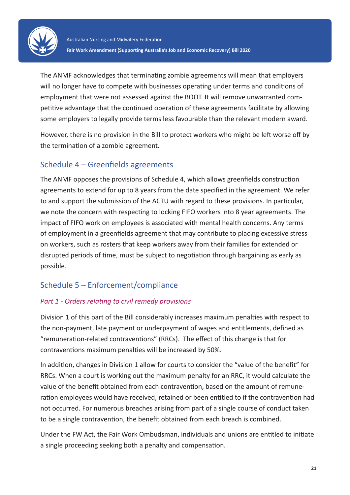

The ANMF acknowledges that terminating zombie agreements will mean that employers will no longer have to compete with businesses operating under terms and conditions of employment that were not assessed against the BOOT. It will remove unwarranted competitive advantage that the continued operation of these agreements facilitate by allowing some employers to legally provide terms less favourable than the relevant modern award.

However, there is no provision in the Bill to protect workers who might be left worse off by the termination of a zombie agreement.

## Schedule 4 – Greenfields agreements

The ANMF opposes the provisions of Schedule 4, which allows greenfields construction agreements to extend for up to 8 years from the date specified in the agreement. We refer to and support the submission of the ACTU with regard to these provisions. In particular, we note the concern with respecting to locking FIFO workers into 8 year agreements. The impact of FIFO work on employees is associated with mental health concerns. Any terms of employment in a greenfields agreement that may contribute to placing excessive stress on workers, such as rosters that keep workers away from their families for extended or disrupted periods of time, must be subject to negotiation through bargaining as early as possible.

## Schedule 5 – Enforcement/compliance

## *Part 1 - Orders relating to civil remedy provisions*

Division 1 of this part of the Bill considerably increases maximum penalties with respect to the non-payment, late payment or underpayment of wages and entitlements, defined as "remuneration-related contraventions" (RRCs). The effect of this change is that for contraventions maximum penalties will be increased by 50%.

In addition, changes in Division 1 allow for courts to consider the "value of the benefit" for RRCs. When a court is working out the maximum penalty for an RRC, it would calculate the value of the benefit obtained from each contravention, based on the amount of remuneration employees would have received, retained or been entitled to if the contravention had not occurred. For numerous breaches arising from part of a single course of conduct taken to be a single contravention, the benefit obtained from each breach is combined.

Under the FW Act, the Fair Work Ombudsman, individuals and unions are entitled to initiate a single proceeding seeking both a penalty and compensation.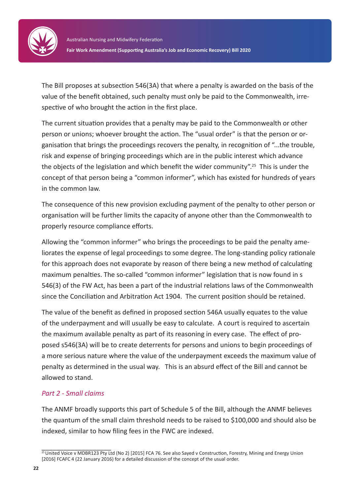

The Bill proposes at subsection 546(3A) that where a penalty is awarded on the basis of the value of the benefit obtained, such penalty must only be paid to the Commonwealth, irrespective of who brought the action in the first place.

The current situation provides that a penalty may be paid to the Commonwealth or other person or unions; whoever brought the action. The "usual order" is that the person or organisation that brings the proceedings recovers the penalty, in recognition of "...the trouble, risk and expense of bringing proceedings which are in the public interest which advance the objects of the legislation and which benefit the wider community".25 This is under the concept of that person being a "common informer", which has existed for hundreds of years in the common law.

The consequence of this new provision excluding payment of the penalty to other person or organisation will be further limits the capacity of anyone other than the Commonwealth to properly resource compliance efforts.

Allowing the "common informer" who brings the proceedings to be paid the penalty ameliorates the expense of legal proceedings to some degree. The long-standing policy rationale for this approach does not evaporate by reason of there being a new method of calculating maximum penalties. The so-called "common informer" legislation that is now found in s 546(3) of the FW Act, has been a part of the industrial relations laws of the Commonwealth since the Conciliation and Arbitration Act 1904. The current position should be retained.

The value of the benefit as defined in proposed section 546A usually equates to the value of the underpayment and will usually be easy to calculate. A court is required to ascertain the maximum available penalty as part of its reasoning in every case. The effect of proposed s546(3A) will be to create deterrents for persons and unions to begin proceedings of a more serious nature where the value of the underpayment exceeds the maximum value of penalty as determined in the usual way. This is an absurd effect of the Bill and cannot be allowed to stand.

## *Part 2 - Small claims*

The ANMF broadly supports this part of Schedule 5 of the Bill, although the ANMF believes the quantum of the small claim threshold needs to be raised to \$100,000 and should also be indexed, similar to how filing fees in the FWC are indexed.

\_\_\_\_\_\_\_\_\_\_\_\_\_\_\_\_\_\_\_ <sup>25</sup> United Voice v MDBR123 Pty Ltd (No 2) [2015] FCA 76. See also Sayed v Construction, Forestry, Mining and Energy Union [2016] FCAFC 4 (22 January 2016) for a detailed discussion of the concept of the usual order.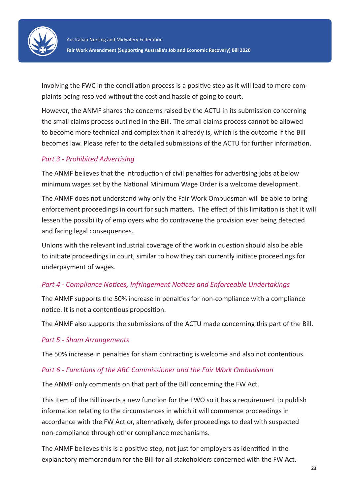

Involving the FWC in the conciliation process is a positive step as it will lead to more complaints being resolved without the cost and hassle of going to court.

However, the ANMF shares the concerns raised by the ACTU in its submission concerning the small claims process outlined in the Bill. The small claims process cannot be allowed to become more technical and complex than it already is, which is the outcome if the Bill becomes law. Please refer to the detailed submissions of the ACTU for further information.

## *Part 3 - Prohibited Advertising*

The ANMF believes that the introduction of civil penalties for advertising jobs at below minimum wages set by the National Minimum Wage Order is a welcome development.

The ANMF does not understand why only the Fair Work Ombudsman will be able to bring enforcement proceedings in court for such matters. The effect of this limitation is that it will lessen the possibility of employers who do contravene the provision ever being detected and facing legal consequences.

Unions with the relevant industrial coverage of the work in question should also be able to initiate proceedings in court, similar to how they can currently initiate proceedings for underpayment of wages.

## *Part 4 - Compliance Notices, Infringement Notices and Enforceable Undertakings*

The ANMF supports the 50% increase in penalties for non-compliance with a compliance notice. It is not a contentious proposition.

The ANMF also supports the submissions of the ACTU made concerning this part of the Bill.

### *Part 5 - Sham Arrangements*

The 50% increase in penalties for sham contracting is welcome and also not contentious.

### *Part 6 - Functions of the ABC Commissioner and the Fair Work Ombudsman*

The ANMF only comments on that part of the Bill concerning the FW Act.

This item of the Bill inserts a new function for the FWO so it has a requirement to publish information relating to the circumstances in which it will commence proceedings in accordance with the FW Act or, alternatively, defer proceedings to deal with suspected non-compliance through other compliance mechanisms.

The ANMF believes this is a positive step, not just for employers as identified in the explanatory memorandum for the Bill for all stakeholders concerned with the FW Act.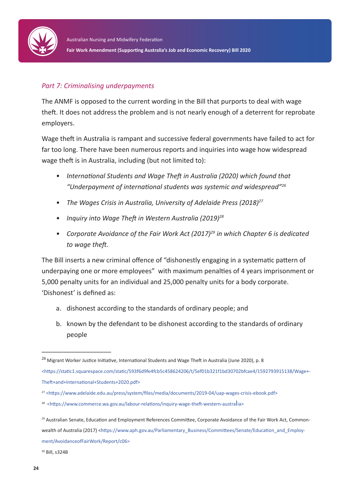

## *Part 7: Criminalising underpayments*

The ANMF is opposed to the current wording in the Bill that purports to deal with wage theft. It does not address the problem and is not nearly enough of a deterrent for reprobate employers.

Wage theft in Australia is rampant and successive federal governments have failed to act for far too long. There have been numerous reports and inquiries into wage how widespread wage theft is in Australia, including (but not limited to):

- *• International Students and Wage Theft in Australia (2020) which found that "Underpayment of international students was systemic and widespread"26*
- The Wages Crisis in Australia, University of Adelaide Press (2018)<sup>27</sup>
- *• Inquiry into Wage Theft in Western Australia (2019)28*
- *Corporate Avoidance of the Fair Work Act (2017)<sup>29</sup> in which Chapter 6 is dedicated to wage theft.*

The Bill inserts a new criminal offence of "dishonestly engaging in a systematic pattern of underpaying one or more employees" with maximum penalties of 4 years imprisonment or 5,000 penalty units for an individual and 25,000 penalty units for a body corporate. 'Dishonest' is defined as:

- a. dishonest according to the standards of ordinary people; and
- b. known by the defendant to be dishonest according to the standards of ordinary people

30 Bill, s324B

\_\_\_\_\_\_\_\_\_\_\_\_\_\_\_\_\_\_\_

<sup>&</sup>lt;sup>26</sup> Migrant Worker Justice Initiative, International Students and Wage Theft in Australia (June 2020), p. 8

<sup>&</sup>lt;https://static1.squarespace.com/static/593f6d9fe4fcb5c458624206/t/5ef01b321f1bd30702bfcae4/1592793915138/Wage+- Theft+and+International+Students+2020.pdf>

<sup>27</sup> <https://www.adelaide.edu.au/press/system/files/media/documents/2019-04/uap-wages-crisis-ebook.pdf>

<sup>28</sup> <https://www.commerce.wa.gov.au/labour-relations/inquiry-wage-theft-western-australia>

<sup>&</sup>lt;sup>29</sup> Australian Senate, Education and Employment References Committee, Corporate Avoidance of the Fair Work Act, Commonwealth of Australia (2017) <https://www.aph.gov.au/Parliamentary\_Business/Committees/Senate/Education\_and\_Employment/AvoidanceofFairWork/Report/c06>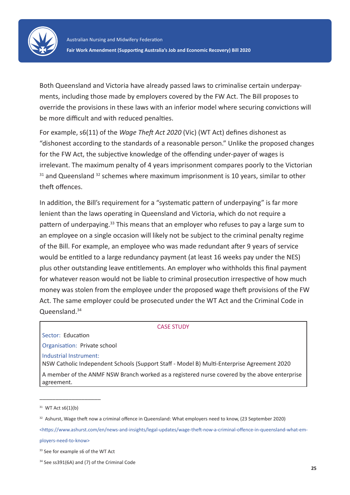

Both Queensland and Victoria have already passed laws to criminalise certain underpayments, including those made by employers covered by the FW Act. The Bill proposes to override the provisions in these laws with an inferior model where securing convictions will be more difficult and with reduced penalties.

For example, s6(11) of the *Wage Theft Act 2020* (Vic) (WT Act) defines dishonest as "dishonest according to the standards of a reasonable person." Unlike the proposed changes for the FW Act, the subjective knowledge of the offending under-payer of wages is irrelevant. The maximum penalty of 4 years imprisonment compares poorly to the Victorian  $31$  and Queensland  $32$  schemes where maximum imprisonment is 10 years, similar to other theft offences.

In addition, the Bill's requirement for a "systematic pattern of underpaying" is far more lenient than the laws operating in Queensland and Victoria, which do not require a pattern of underpaying.<sup>33</sup> This means that an employer who refuses to pay a large sum to an employee on a single occasion will likely not be subject to the criminal penalty regime of the Bill. For example, an employee who was made redundant after 9 years of service would be entitled to a large redundancy payment (at least 16 weeks pay under the NES) plus other outstanding leave entitlements. An employer who withholds this final payment for whatever reason would not be liable to criminal prosecution irrespective of how much money was stolen from the employee under the proposed wage theft provisions of the FW Act. The same employer could be prosecuted under the WT Act and the Criminal Code in Queensland.34

#### CASE STUDY

Sector: Education

Organisation: Private school Industrial Instrument: NSW Catholic Independent Schools (Support Staff - Model B) Multi-Enterprise Agreement 2020

A member of the ANMF NSW Branch worked as a registered nurse covered by the above enterprise agreement.

\_\_\_\_\_\_\_\_\_\_\_\_\_\_\_\_\_\_\_

<https://www.ashurst.com/en/news-and-insights/legal-updates/wage-theft-now-a-criminal-offence-in-queensland-what-employers-need-to-know>

 $31$  WT Act s6(1)(b)

<sup>&</sup>lt;sup>32</sup> Ashurst, Wage theft now a criminal offence in Queensland: What employers need to know, (23 September 2020)

<sup>&</sup>lt;sup>33</sup> See for example s6 of the WT Act

 <sup>34</sup> See ss391(6A) and (7) of the Criminal Code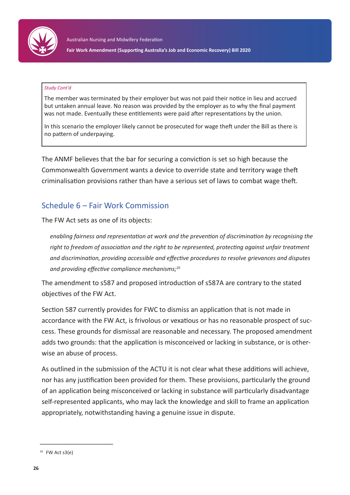

#### *Study Cont'd*

The member was terminated by their employer but was not paid their notice in lieu and accrued but untaken annual leave. No reason was provided by the employer as to why the final payment was not made. Eventually these entitlements were paid after representations by the union.

In this scenario the employer likely cannot be prosecuted for wage theft under the Bill as there is no pattern of underpaying.

The ANMF believes that the bar for securing a conviction is set so high because the Commonwealth Government wants a device to override state and territory wage theft criminalisation provisions rather than have a serious set of laws to combat wage theft.

## Schedule 6 – Fair Work Commission

The FW Act sets as one of its objects:

*enabling fairness and representation at work and the prevention of discrimination by recognising the right to freedom of association and the right to be represented, protecting against unfair treatment and discrimination, providing accessible and effective procedures to resolve grievances and disputes and providing effective compliance mechanisms;<sup>35</sup>*

The amendment to s587 and proposed introduction of s587A are contrary to the stated objectives of the FW Act.

Section 587 currently provides for FWC to dismiss an application that is not made in accordance with the FW Act, is frivolous or vexatious or has no reasonable prospect of success. These grounds for dismissal are reasonable and necessary. The proposed amendment adds two grounds: that the application is misconceived or lacking in substance, or is otherwise an abuse of process.

As outlined in the submission of the ACTU it is not clear what these additions will achieve, nor has any justification been provided for them. These provisions, particularly the ground of an application being misconceived or lacking in substance will particularly disadvantage self-represented applicants, who may lack the knowledge and skill to frame an application appropriately, notwithstanding having a genuine issue in dispute.

\_\_\_\_\_\_\_\_\_\_\_\_\_\_\_\_\_\_\_\_

 $35$  FW Act s3(e)